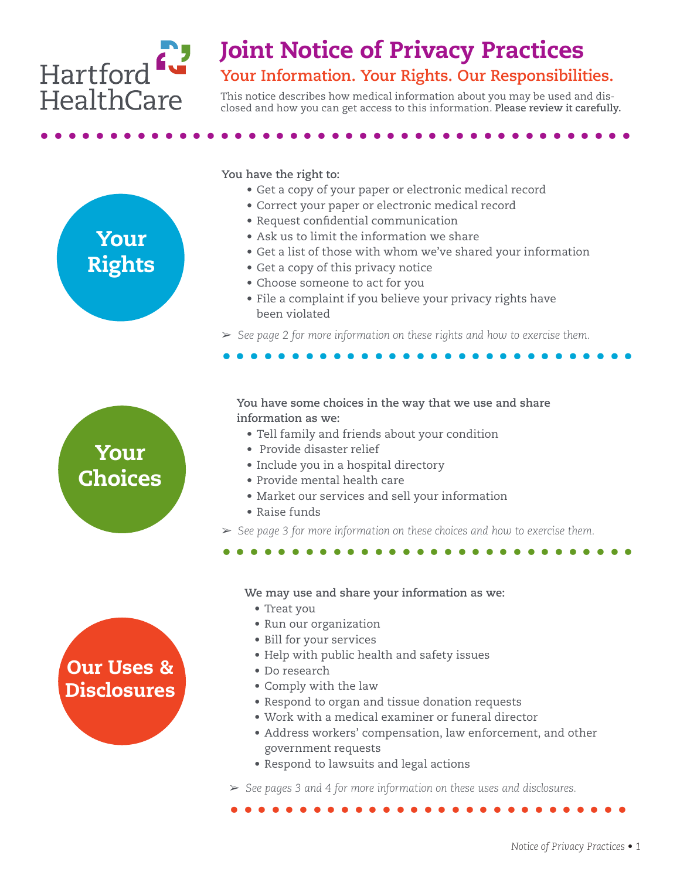

Your

Rights

# Joint Notice of Privacy Practices **Your Information. Your Rights. Our Responsibilities.**

This notice describes how medical information about you may be used and disclosed and how you can get access to this information. **Please review it carefully.**

...........................................

**You have the right to:**

- • Get a copy of your paper or electronic medical record
- • Correct your paper or electronic medical record
- Request confidential communication
- Ask us to limit the information we share
- • Get a list of those with whom we've shared your information
- Get a copy of this privacy notice
- Choose someone to act for you
- File a complaint if you believe your privacy rights have been violated

➢ *See page 2 for more information on these rights and how to exercise them.* ..............................



### **You have some choices in the way that we use and share information as we:**

- • Tell family and friends about your condition
- • Provide disaster relief
- Include you in a hospital directory
- • Provide mental health care
- • Market our services and sell your information
- • Raise funds
- ➢ *See page 3 for more information on these choices and how to exercise them.* ..............................

**We may use and share your information as we:**

- Treat you
- • Run our organization
- • Bill for your services
- Help with public health and safety issues
- • Do research
- • Comply with the law
- • Respond to organ and tissue donation requests
- • Work with a medical examiner or funeral director
- Address workers' compensation, law enforcement, and other government requests
- • Respond to lawsuits and legal actions

➢ *See pages 3 and 4 for more information on these uses and disclosures.* .............................

Our Uses & **Disclosures** 

*Notice of Privacy Practices • 1*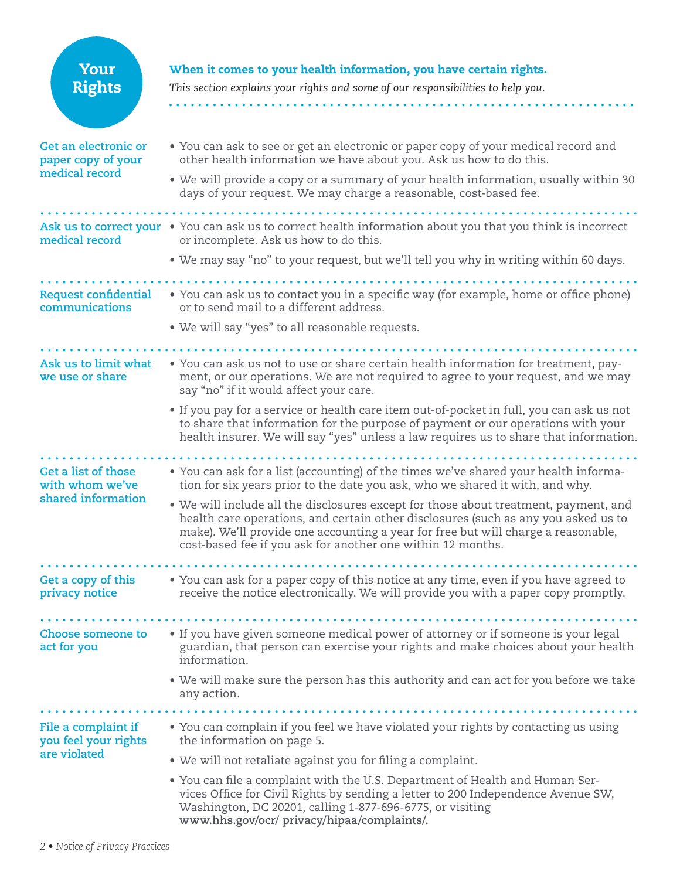| <b>Your</b><br><b>Rights</b>                                 | When it comes to your health information, you have certain rights.<br>This section explains your rights and some of our responsibilities to help you.                                                                                                                                                                          |
|--------------------------------------------------------------|--------------------------------------------------------------------------------------------------------------------------------------------------------------------------------------------------------------------------------------------------------------------------------------------------------------------------------|
| Get an electronic or<br>paper copy of your<br>medical record | • You can ask to see or get an electronic or paper copy of your medical record and<br>other health information we have about you. Ask us how to do this.                                                                                                                                                                       |
|                                                              | • We will provide a copy or a summary of your health information, usually within 30<br>days of your request. We may charge a reasonable, cost-based fee.                                                                                                                                                                       |
| medical record                                               | Ask us to correct your • You can ask us to correct health information about you that you think is incorrect<br>or incomplete. Ask us how to do this.                                                                                                                                                                           |
|                                                              | • We may say "no" to your request, but we'll tell you why in writing within 60 days.                                                                                                                                                                                                                                           |
| <b>Request confidential</b><br>communications                | • You can ask us to contact you in a specific way (for example, home or office phone)<br>or to send mail to a different address.                                                                                                                                                                                               |
|                                                              | • We will say "yes" to all reasonable requests.                                                                                                                                                                                                                                                                                |
| Ask us to limit what<br>we use or share                      | • You can ask us not to use or share certain health information for treatment, pay-<br>ment, or our operations. We are not required to agree to your request, and we may<br>say "no" if it would affect your care.                                                                                                             |
|                                                              | • If you pay for a service or health care item out-of-pocket in full, you can ask us not<br>to share that information for the purpose of payment or our operations with your<br>health insurer. We will say "yes" unless a law requires us to share that information.                                                          |
| Get a list of those<br>with whom we've<br>shared information | • You can ask for a list (accounting) of the times we've shared your health informa-<br>tion for six years prior to the date you ask, who we shared it with, and why.                                                                                                                                                          |
|                                                              | • We will include all the disclosures except for those about treatment, payment, and<br>health care operations, and certain other disclosures (such as any you asked us to<br>make). We'll provide one accounting a year for free but will charge a reasonable,<br>cost-based fee if you ask for another one within 12 months. |
| Get a copy of this<br>privacy notice                         | • You can ask for a paper copy of this notice at any time, even if you have agreed to<br>receive the notice electronically. We will provide you with a paper copy promptly.                                                                                                                                                    |
| <b>Choose someone to</b><br>act for you                      | • If you have given someone medical power of attorney or if someone is your legal<br>guardian, that person can exercise your rights and make choices about your health<br>information.                                                                                                                                         |
|                                                              | • We will make sure the person has this authority and can act for you before we take<br>any action.                                                                                                                                                                                                                            |
| File a complaint if<br>you feel your rights<br>are violated  | • You can complain if you feel we have violated your rights by contacting us using<br>the information on page 5.                                                                                                                                                                                                               |
|                                                              | • We will not retaliate against you for filing a complaint.                                                                                                                                                                                                                                                                    |
|                                                              | • You can file a complaint with the U.S. Department of Health and Human Ser-<br>vices Office for Civil Rights by sending a letter to 200 Independence Avenue SW,<br>Washington, DC 20201, calling 1-877-696-6775, or visiting<br>www.hhs.gov/ocr/ privacy/hipaa/complaints/.                                                   |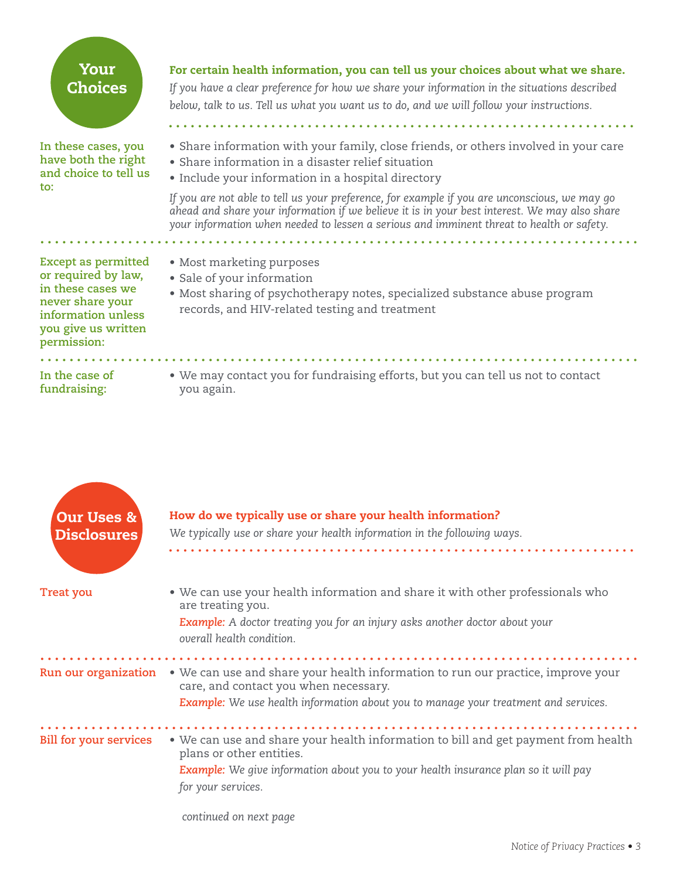| Your<br><b>Choices</b>                                                                                                                                 | For certain health information, you can tell us your choices about what we share.<br>If you have a clear preference for how we share your information in the situations described<br>below, talk to us. Tell us what you want us to do, and we will follow your instructions.                                                                                                                                                                                                                   |
|--------------------------------------------------------------------------------------------------------------------------------------------------------|-------------------------------------------------------------------------------------------------------------------------------------------------------------------------------------------------------------------------------------------------------------------------------------------------------------------------------------------------------------------------------------------------------------------------------------------------------------------------------------------------|
| In these cases, you<br>have both the right<br>and choice to tell us<br>to:                                                                             | • Share information with your family, close friends, or others involved in your care<br>• Share information in a disaster relief situation<br>• Include your information in a hospital directory<br>If you are not able to tell us your preference, for example if you are unconscious, we may go<br>ahead and share your information if we believe it is in your best interest. We may also share<br>your information when needed to lessen a serious and imminent threat to health or safety. |
| <b>Except as permitted</b><br>or required by law,<br>in these cases we<br>never share your<br>information unless<br>you give us written<br>permission: | • Most marketing purposes<br>• Sale of your information<br>· Most sharing of psychotherapy notes, specialized substance abuse program<br>records, and HIV-related testing and treatment                                                                                                                                                                                                                                                                                                         |
| In the case of<br>fundraising:                                                                                                                         | • We may contact you for fundraising efforts, but you can tell us not to contact<br>you again.                                                                                                                                                                                                                                                                                                                                                                                                  |
| Our Uses &                                                                                                                                             | How do we typically use or share your health information?                                                                                                                                                                                                                                                                                                                                                                                                                                       |

**Disclosures** 

• We can use your health information and share it with other professionals who are treating you. *Example: A doctor treating you for an injury asks another doctor about your overall health condition.* **Treat you Run our organization •** We can use and share your health information to run our practice, improve your care, and contact you when necessary. *Example: We use health information about you to manage your treatment and services.* **Bill for your services •** We can use and share your health information to bill and get payment from health plans or other entities. *Example: We give information about you to your health insurance plan so it will pay for your services.* **..................................................................................** *We typically use or share your health information in the following ways.* **.................................................................................. ................................................................**

*continued on next page*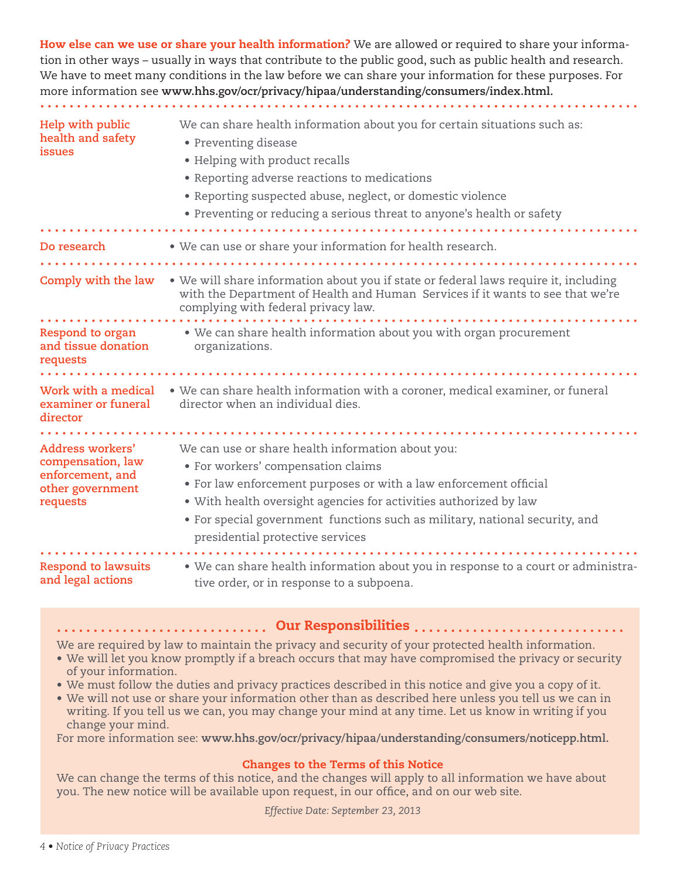How else can we use or share your health information? We are allowed or required to share your information in other ways – usually in ways that contribute to the public good, such as public health and research. We have to meet many conditions in the law before we can share your information for these purposes. For more information see **www.hhs.gov/ocr/privacy/hipaa/understanding/consumers/index.html. ..................................................................................**

| Help with public<br>health and safety<br>issues                                           | We can share health information about you for certain situations such as:<br>• Preventing disease<br>• Helping with product recalls<br>• Reporting adverse reactions to medications<br>• Reporting suspected abuse, neglect, or domestic violence<br>• Preventing or reducing a serious threat to anyone's health or safety                          |
|-------------------------------------------------------------------------------------------|------------------------------------------------------------------------------------------------------------------------------------------------------------------------------------------------------------------------------------------------------------------------------------------------------------------------------------------------------|
|                                                                                           |                                                                                                                                                                                                                                                                                                                                                      |
| Do research                                                                               | • We can use or share your information for health research.                                                                                                                                                                                                                                                                                          |
| Comply with the law                                                                       | • We will share information about you if state or federal laws require it, including<br>with the Department of Health and Human Services if it wants to see that we're<br>complying with federal privacy law.                                                                                                                                        |
| Respond to organ<br>and tissue donation<br>requests                                       | • We can share health information about you with organ procurement<br>organizations.                                                                                                                                                                                                                                                                 |
| Work with a medical<br>examiner or funeral<br>director                                    | • We can share health information with a coroner, medical examiner, or funeral<br>director when an individual dies.                                                                                                                                                                                                                                  |
| Address workers'<br>compensation, law<br>enforcement, and<br>other government<br>requests | We can use or share health information about you:<br>• For workers' compensation claims<br>• For law enforcement purposes or with a law enforcement official<br>• With health oversight agencies for activities authorized by law<br>• For special government functions such as military, national security, and<br>presidential protective services |
| <b>Respond to lawsuits</b><br>and legal actions                                           | • We can share health information about you in response to a court or administra-<br>tive order, or in response to a subpoena.                                                                                                                                                                                                                       |

# Our Responsibilities **............................. .............................**

We are required by law to maintain the privacy and security of your protected health information.

- We will let you know promptly if a breach occurs that may have compromised the privacy or security of your information.
- We must follow the duties and privacy practices described in this notice and give you a copy of it.
- • We will not use or share your information other than as described here unless you tell us we can in writing. If you tell us we can, you may change your mind at any time. Let us know in writing if you change your mind.

For more information see: **www.hhs.gov/ocr/privacy/hipaa/understanding/consumers/noticepp.html.**

#### Changes to the Terms of this Notice

We can change the terms of this notice, and the changes will apply to all information we have about you. The new notice will be available upon request, in our office, and on our web site.

*Effective Date: September 23, 2013*